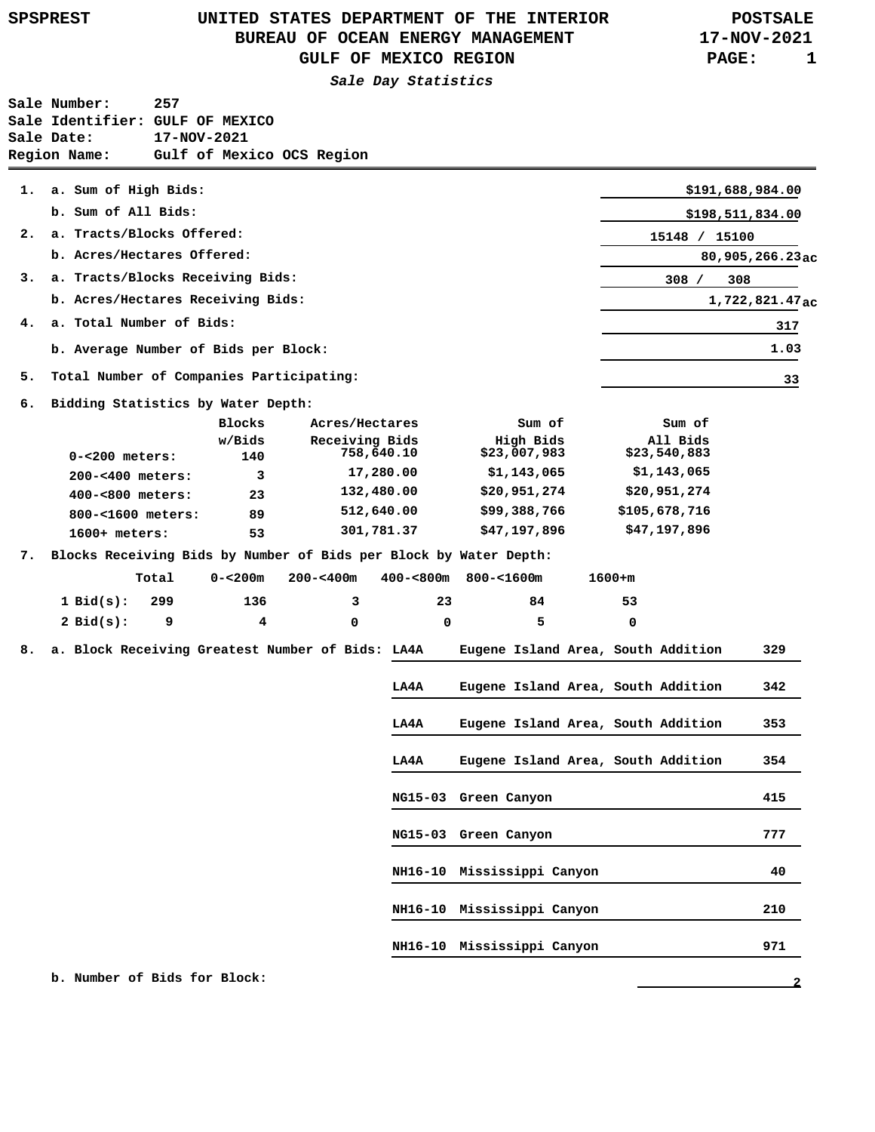## **UNITED STATES DEPARTMENT OF THE INTERIOR SPSPREST POSTSALE BUREAU OF OCEAN ENERGY MANAGEMENT GULF OF MEXICO REGION**

**Sale Day Statistics**

| Sale Number:                    | 257                       |
|---------------------------------|---------------------------|
| Sale Identifier: GULF OF MEXICO |                           |
| Sale Date:                      | 17-NOV-2021               |
| Region Name:                    | Gulf of Mexico OCS Region |

|    | 1. a. Sum of High Bids:                  |               |                              |                           |                          | \$191,688,984.00              |
|----|------------------------------------------|---------------|------------------------------|---------------------------|--------------------------|-------------------------------|
|    | b. Sum of All Bids:                      |               | \$198,511,834.00             |                           |                          |                               |
| 2. | a. Tracts/Blocks Offered:                | 15148 /       | 15100                        |                           |                          |                               |
|    | b. Acres/Hectares Offered:               |               |                              |                           |                          | $80,905,266.23$ <sub>ac</sub> |
| 3. | a. Tracts/Blocks Receiving Bids:         |               |                              |                           | 308/                     | 308                           |
|    | b. Acres/Hectares Receiving Bids:        |               | 1,722,821.47 <sub>ac</sub>   |                           |                          |                               |
|    | 4. a. Total Number of Bids:              |               |                              | 317                       |                          |                               |
|    | b. Average Number of Bids per Block:     |               |                              |                           |                          | 1.03                          |
| 5. | Total Number of Companies Participating: |               |                              |                           |                          | 33                            |
| 6. | Bidding Statistics by Water Depth:       |               |                              |                           |                          |                               |
|    |                                          | <b>Blocks</b> | Acres/Hectares               | Sum of                    | Sum of                   |                               |
|    | $0 - 200 meters:$                        | w/Bids<br>140 | Receiving Bids<br>758,640.10 | High Bids<br>\$23,007,983 | All Bids<br>\$23,540,883 |                               |
|    | 200-<400 meters:                         | 3             | 17,280.00                    | \$1,143,065               | \$1,143,065              |                               |

| $400 - 800 meters:$ | 23 | 132,480.00 | \$20,951,274 | \$20,951,274  |
|---------------------|----|------------|--------------|---------------|
| 800-<1600 meters:   | 89 | 512,640.00 | \$99,388,766 | \$105,678,716 |
| $1600+$ meters:     | 53 | 301,781.37 | \$47,197,896 | \$47,197,896  |

**7. Blocks Receiving Bids by Number of Bids per Block by Water Depth:**

|                 | Total | $0 - 200m$ | 200-<400m | 400-<800m 800-<1600m |    | $1600 + m$ |
|-----------------|-------|------------|-----------|----------------------|----|------------|
| $1$ Bid(s): 299 |       | 136        | $\sim$    | 23                   | 84 | 53         |
| $2$ Bid $(s)$ : |       | 4          |           | <sup>n</sup>         | Б. |            |

**Eugene Island Area, South Addition LA4A 8. a. Block Receiving Greatest Number of Bids:**

| LA4A | Eugene Island Area, South Addition | 329 |
|------|------------------------------------|-----|
| LA4A | Eugene Island Area, South Addition | 342 |
| LA4A | Eugene Island Area, South Addition | 353 |
| LA4A | Eugene Island Area, South Addition | 354 |
|      | NG15-03 Green Canyon               | 415 |
|      | NG15-03 Green Canyon               | 777 |
|      | NH16-10 Mississippi Canyon         | 40  |
|      | NH16-10 Mississippi Canyon         | 210 |
|      | NH16-10 Mississippi Canyon         | 971 |

 **b. Number of Bids for Block:**

**17-NOV-2021 PAGE: 1**

**2**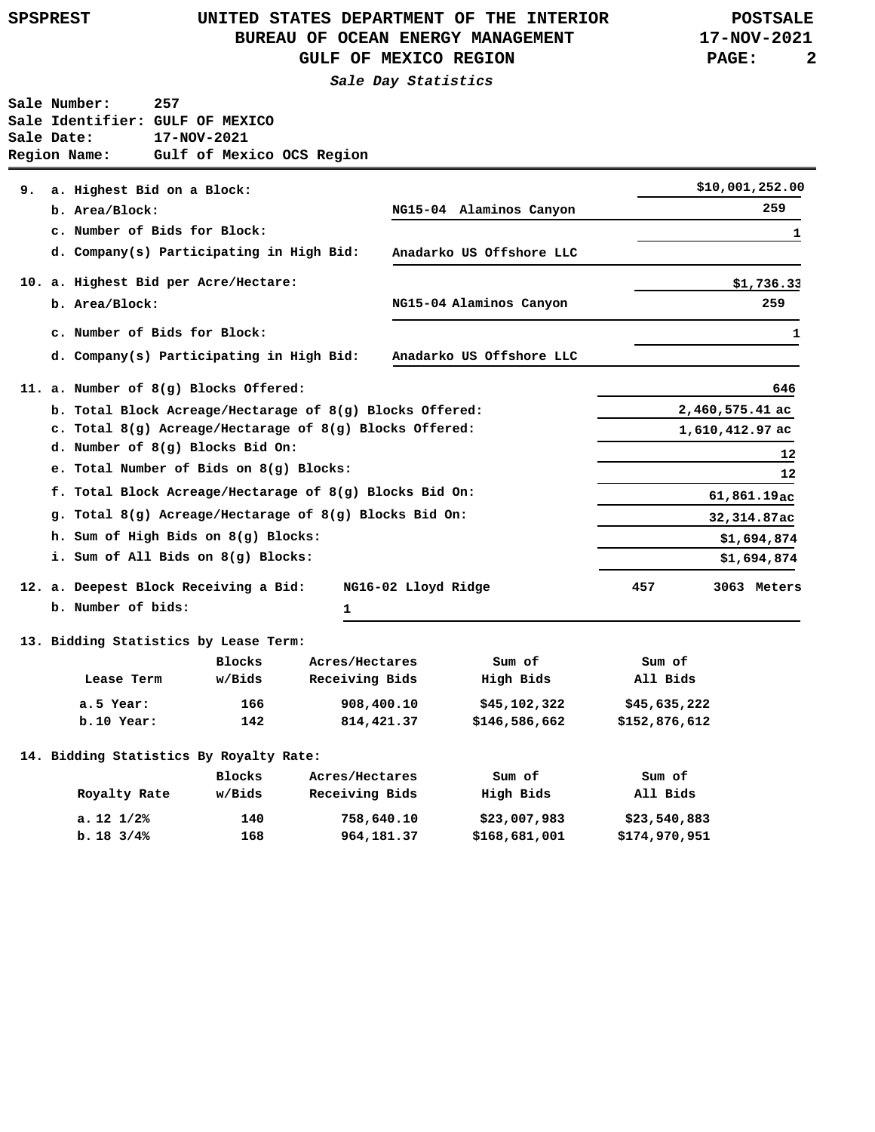|  |  |  |  |  |  |  | SPSPREST |  |
|--|--|--|--|--|--|--|----------|--|
|--|--|--|--|--|--|--|----------|--|

## **UNITED STATES DEPARTMENT OF THE INTERIOR SPSPREST POSTSALE BUREAU OF OCEAN ENERGY MANAGEMENT GULF OF MEXICO REGION**

**17-NOV-2021 PAGE: 2**

**Sale Day Statistics**

|    | Sale Number:<br>Sale Date:<br>Region Name: | 257<br>Sale Identifier: GULF OF MEXICO<br>17-NOV-2021<br>Gulf of Mexico OCS Region |                                                             |                          |               |                   |  |
|----|--------------------------------------------|------------------------------------------------------------------------------------|-------------------------------------------------------------|--------------------------|---------------|-------------------|--|
| 9. | a. Highest Bid on a Block:                 |                                                                                    |                                                             |                          |               | \$10,001,252.00   |  |
|    | b. Area/Block:                             |                                                                                    |                                                             | NG15-04 Alaminos Canyon  |               | 259               |  |
|    |                                            | c. Number of Bids for Block:                                                       |                                                             |                          |               |                   |  |
|    |                                            | d. Company(s) Participating in High Bid:                                           |                                                             | Anadarko US Offshore LLC |               | 1                 |  |
|    |                                            |                                                                                    |                                                             |                          |               |                   |  |
|    | b. Area/Block:                             | 10. a. Highest Bid per Acre/Hectare:                                               |                                                             | NG15-04 Alaminos Canyon  |               | \$1,736.33<br>259 |  |
|    |                                            |                                                                                    |                                                             |                          |               |                   |  |
|    |                                            | c. Number of Bids for Block:                                                       |                                                             |                          |               | 1                 |  |
|    |                                            | d. Company(s) Participating in High Bid:                                           |                                                             | Anadarko US Offshore LLC |               |                   |  |
|    |                                            | 11. a. Number of 8(g) Blocks Offered:                                              |                                                             |                          |               | 646               |  |
|    |                                            |                                                                                    | b. Total Block Acreage/Hectarage of 8(g) Blocks Offered:    |                          |               | 2,460,575.41 ac   |  |
|    |                                            |                                                                                    | c. Total $8(g)$ Acreage/Hectarage of $8(g)$ Blocks Offered: |                          |               | 1,610,412.97 ac   |  |
|    |                                            | d. Number of 8(g) Blocks Bid On:                                                   |                                                             |                          |               | 12                |  |
|    |                                            | e. Total Number of Bids on 8(g) Blocks:                                            |                                                             |                          |               | 12                |  |
|    |                                            |                                                                                    | f. Total Block Acreage/Hectarage of 8(g) Blocks Bid On:     |                          | 61,861.19ac   |                   |  |
|    |                                            |                                                                                    | g. Total $8(g)$ Acreage/Hectarage of $8(g)$ Blocks Bid On:  |                          |               | 32,314.87ac       |  |
|    |                                            | h. Sum of High Bids on 8(g) Blocks:                                                |                                                             |                          |               | \$1,694,874       |  |
|    |                                            | i. Sum of All Bids on 8(g) Blocks:                                                 |                                                             |                          |               | \$1,694,874       |  |
|    |                                            | 12. a. Deepest Block Receiving a Bid:                                              | NG16-02 Lloyd Ridge                                         |                          | 457           | 3063 Meters       |  |
|    | b. Number of bids:                         |                                                                                    | ı                                                           |                          |               |                   |  |
|    |                                            | 13. Bidding Statistics by Lease Term:                                              |                                                             |                          |               |                   |  |
|    |                                            | <b>Blocks</b>                                                                      | Acres/Hectares                                              | Sum of                   | Sum of        |                   |  |
|    | Lease Term                                 | w/Bids                                                                             | Receiving Bids                                              | High Bids                | All Bids      |                   |  |
|    | a.5 Year:                                  | 166                                                                                | 908,400.10                                                  | \$45,102,322             | \$45,635,222  |                   |  |
|    | b.10 Year:                                 | 142                                                                                | 814,421.37                                                  | \$146,586,662            | \$152,876,612 |                   |  |
|    |                                            | 14. Bidding Statistics By Royalty Rate:                                            |                                                             |                          |               |                   |  |
|    |                                            | <b>Blocks</b>                                                                      | Acres/Hectares                                              | Sum of                   | Sum of        |                   |  |
|    | Royalty Rate                               | w/Bids                                                                             | Receiving Bids                                              | High Bids                | All Bids      |                   |  |
|    | $a. 12 \frac{1}{2}$                        | 140                                                                                | 758,640.10                                                  | \$23,007,983             | \$23,540,883  |                   |  |
|    | $b. 18$ 3/4%                               | 168                                                                                | 964,181.37                                                  | \$168,681,001            | \$174,970,951 |                   |  |